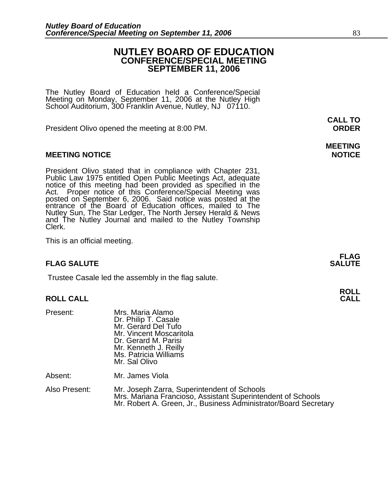### **NUTLEY BOARD OF EDUCATION CONFERENCE/SPECIAL MEETING SEPTEMBER 11, 2006**

The Nutley Board of Education held a Conference/Special Meeting on Monday, September 11, 2006 at the Nutley High School Auditorium, 300 Franklin Avenue, Nutley, NJ 07110.

President Olivo opened the meeting at 8:00 PM. **ORDER**

### **MEETING NOTICE NOTICE REPORTS AND ALCOHOL**

President Olivo stated that in compliance with Chapter 231,<br>Public Law 1975 entitled Open Public Meetings Act, adequate<br>notice of this meeting had been provided as specified in the<br>Act. Proper notice of this Conference/Spe entrance of the Board of Education offices, mailed to The Nutley Sun, The Star Ledger, The North Jersey Herald & News and The Nutley Journal and mailed to the Nutley Township Clerk.

This is an official meeting.

### **FLAG SALUTE SALUTE SALUTE**

Trustee Casale led the assembly in the flag salute.

# **ROLL ROLL CALL CALL**

| Present:      | Mrs. Maria Alamo<br>Dr. Philip T. Casale<br>Mr. Gerard Del Tufo<br>Mr. Vincent Moscaritola<br>Dr. Gerard M. Parisi<br>Mr. Kenneth J. Reilly<br>Ms. Patricia Williams<br>Mr. Sal Olivo |
|---------------|---------------------------------------------------------------------------------------------------------------------------------------------------------------------------------------|
| Absent:       | Mr. James Viola                                                                                                                                                                       |
| Also Present: | Mr. Joseph Zarra, Superintendent of Schools<br>Mrs. Mariana Francioso, Assistant Superintendent of Schools<br>Mr. Robert A. Green, Jr., Business Administrator/Board Secretary        |

# **MEETING**

**FLAG** 

# **CALL TO**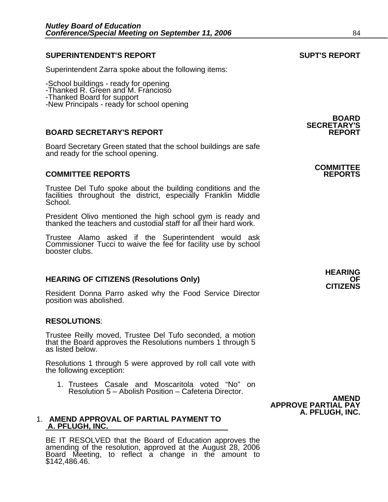### **SUPERINTENDENT'S REPORT SUPT'S REPORT**

Superintendent Zarra spoke about the following items:

-School buildings - ready for opening

-Thanked R. Green and M. Francioso

-Thanked Board for support

-New Principals - ready for school opening

### **BOARD SECRETARY'S REPORT**

Board Secretary Green stated that the school buildings are safe and ready for the school opening.

### **COMMITTEE REPORTS REPORTS**

Trustee Del Tufo spoke about the building conditions and the facilities throughout the district, especially Franklin Middle School.

President Olivo mentioned the high school gym is ready and thanked the teachers and custodial staff for all their hard work.

Trustee Alamo asked if the Superintendent would ask Commissioner Tucci to waive the fee for facility use by school booster clubs.

## **HEARING OF CITIZENS (Resolutions Only) OF CITIZENS**

Resident Donna Parro asked why the Food Service Director position was abolished.

### **RESOLUTIONS**:

Trustee Reilly moved, Trustee Del Tufo seconded, a motion that the Board approves the Resolutions numbers 1 through 5 as listed below.

Resolutions 1 through 5 were approved by roll call vote with the following exception:

1. Trustees Casale and Moscaritola voted "No" on Resolution 5 – Abolish Position – Cafeteria Director.

### 1. **AMEND APPROVAL OF PARTIAL PAYMENT TO A. PFLUGH, INC.**

BE IT RESOLVED that the Board of Education approves the amending of the resolution, approved at the August 28, 2006 Board Meeting, to reflect a change in the amount to \$142,486.46.

**BOARD SECRETARY'S** 

# **COMMITTEE**

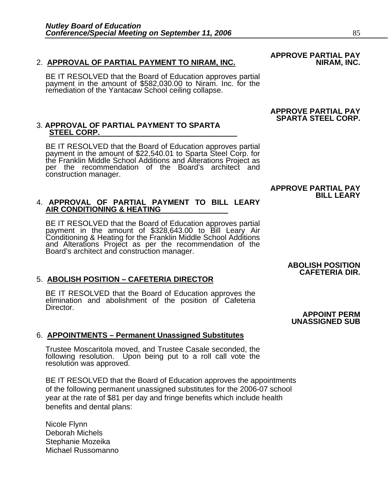### 2. APPROVAL OF PARTIAL PAYMENT TO NIRAM, INC.

BE IT RESOLVED that the Board of Education approves partial payment in the amount of \$582,030.00 to Niram. Inc. for the remediation of the Yantacaw School ceiling collapse.

# 3. **APPROVAL OF PARTIAL PAYMENT TO SPARTA STEEL CORP.**

BE IT RESOLVED that the Board of Education approves partial payment in the amount of \$22,540.01 to Sparta Steel Corp. for the Franklin Middle School Additions and Alterations Project as per the recommendation of the Board's architect and construction manager.

### **BILL LEARY** 4. **APPROVAL OF PARTIAL PAYMENT TO BILL LEARY AIR CONDITIONING & HEATING**

BE IT RESOLVED that the Board of Education approves partial payment in the amount of \$328,643.00 to Bill Leary Air Conditioning & Heating for the Franklin Middle School Additions and Alterations Project as per the recommendation of the Board's architect and construction manager.

### **CAFETERIA DIR.** 5. **ABOLISH POSITION – CAFETERIA DIRECTOR**

BE IT RESOLVED that the Board of Education approves the elimination and abolishment of the position of Cafeteria Director.

### 6. **APPOINTMENTS – Permanent Unassigned Substitutes**

Trustee Moscaritola moved, and Trustee Casale seconded, the following resolution. Upon being put to a roll call vote the resolution was approved.

BE IT RESOLVED that the Board of Education approves the appointments of the following permanent unassigned substitutes for the 2006-07 school year at the rate of \$81 per day and fringe benefits which include health benefits and dental plans:

Nicole Flynn Deborah Michels Stephanie Mozeika Michael Russomanno

### **APPROVE PARTIAL PAY SPARTA STEEL CORP.**

# **APPROVE PARTIAL PAY**

# **ABOLISH POSITION**

### **APPOINT PERM UNASSIGNED SUB**

# **APPROVE PARTIAL PAY**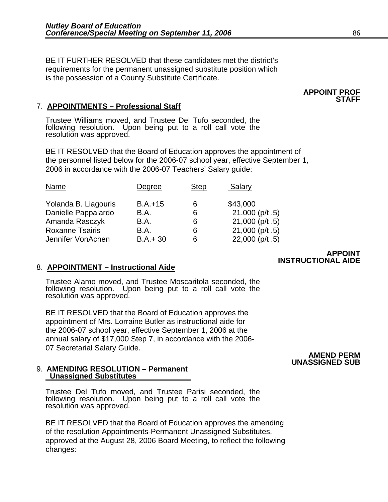BE IT FURTHER RESOLVED that these candidates met the district's requirements for the permanent unassigned substitute position which is the possession of a County Substitute Certificate.

### 7. **APPOINTMENTS – Professional Staff**

Trustee Williams moved, and Trustee Del Tufo seconded, the following resolution. Upon being put to a roll call vote the resolution was approved.

BE IT RESOLVED that the Board of Education approves the appointment of the personnel listed below for the 2006-07 school year, effective September 1, 2006 in accordance with the 2006-07 Teachers' Salary guide:

| Degree      | <b>Step</b> | Salary             |
|-------------|-------------|--------------------|
| $B.A.+15$   | 6           | \$43,000           |
| B.A.        | 6           | $21,000$ (p/t .5)  |
| <b>B.A.</b> | 6           | $21,000$ (p/t.5)   |
| B.A.        | 6           | 21,000 ( $p/t$ .5) |
| $B.A.+30$   | 6           | $22,000$ (p/t .5)  |
|             |             |                    |

### 8. **APPOINTMENT – Instructional Aide**

Trustee Alamo moved, and Trustee Moscaritola seconded, the following resolution. Upon being put to a roll call vote the resolution was approved.

BE IT RESOLVED that the Board of Education approves the appointment of Mrs. Lorraine Butler as instructional aide for the 2006-07 school year, effective September 1, 2006 at the annual salary of \$17,000 Step 7, in accordance with the 2006- 07 Secretarial Salary Guide.

### 9. **AMENDING RESOLUTION – Permanent Unassigned Substitutes**

Trustee Del Tufo moved, and Trustee Parisi seconded, the following resolution. Upon being put to a roll call vote the resolution was approved.

BE IT RESOLVED that the Board of Education approves the amending of the resolution Appointments-Permanent Unassigned Substitutes, approved at the August 28, 2006 Board Meeting, to reflect the following changes:

### **APPOINT INSTRUCTIONAL AIDE**

### **AMEND PERM UNASSIGNED SUB**

### **APPOINT PROF STAFF**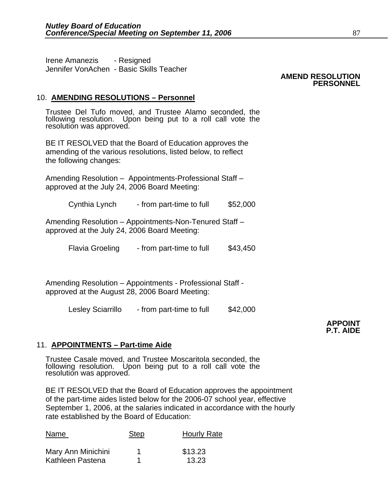Irene Amanezis - Resigned Jennifer VonAchen - Basic Skills Teacher

### **AMEND RESOLUTION PERSONNEL**

### 10. **AMENDING RESOLUTIONS – Personnel**

Trustee Del Tufo moved, and Trustee Alamo seconded, the following resolution. Upon being put to a roll call vote the resolution was approved.

BE IT RESOLVED that the Board of Education approves the amending of the various resolutions, listed below, to reflect the following changes:

Amending Resolution – Appointments-Professional Staff – approved at the July 24, 2006 Board Meeting:

Cynthia Lynch - from part-time to full \$52,000

Amending Resolution – Appointments-Non-Tenured Staff – approved at the July 24, 2006 Board Meeting:

Flavia Groeling - from part-time to full \$43,450

Amending Resolution – Appointments - Professional Staff approved at the August 28, 2006 Board Meeting:

Lesley Sciarrillo - from part-time to full \$42,000

**APPOINT P.T. AIDE** 

### 11. **APPOINTMENTS – Part-time Aide**

Trustee Casale moved, and Trustee Moscaritola seconded, the following resolution. Upon being put to a roll call vote the resolution was approved.

BE IT RESOLVED that the Board of Education approves the appointment of the part-time aides listed below for the 2006-07 school year, effective September 1, 2006, at the salaries indicated in accordance with the hourly rate established by the Board of Education:

| Name               | <b>Step</b> | <b>Hourly Rate</b> |
|--------------------|-------------|--------------------|
| Mary Ann Minichini |             | \$13.23            |
| Kathleen Pastena   |             | 13.23              |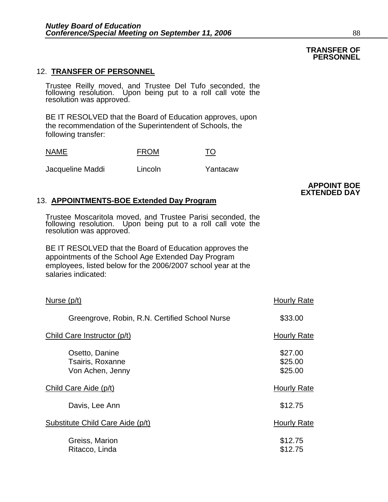### 12. **TRANSFER OF PERSONNEL**

Trustee Reilly moved, and Trustee Del Tufo seconded, the following resolution. Upon being put to a roll call vote the<br>resolution was approved.

BE IT RESOLVED that the Board of Education approves, upon the recommendation of the Superintendent of Schools, the following transfer:

| <b>NAME</b>      | <b>FROM</b> | TO       |
|------------------|-------------|----------|
| Jacqueline Maddi | Lincoln     | Yantacaw |

### 13. **APPOINTMENTS-BOE Extended Day Program**

Trustee Moscaritola moved, and Trustee Parisi seconded, the following resolution. Upon being put to a roll call vote the resolution was approved.

BE IT RESOLVED that the Board of Education approves the appointments of the School Age Extended Day Program employees, listed below for the 2006/2007 school year at the salaries indicated:

| Nurse (p/t)                                            | <b>Hourly Rate</b>            |
|--------------------------------------------------------|-------------------------------|
| Greengrove, Robin, R.N. Certified School Nurse         | \$33.00                       |
| Child Care Instructor (p/t)                            | Hourly Rate                   |
| Osetto, Danine<br>Tsairis, Roxanne<br>Von Achen, Jenny | \$27.00<br>\$25.00<br>\$25.00 |
| Child Care Aide (p/t)                                  | <b>Hourly Rate</b>            |
| Davis, Lee Ann                                         | \$12.75                       |
| Substitute Child Care Aide (p/t)                       | <b>Hourly Rate</b>            |
| Greiss, Marion<br>Ritacco, Linda                       | \$12.75<br>\$12.75            |

### **TRANSFER OF PERSONNEL**

**APPOINT BOE EXTENDED DAY**